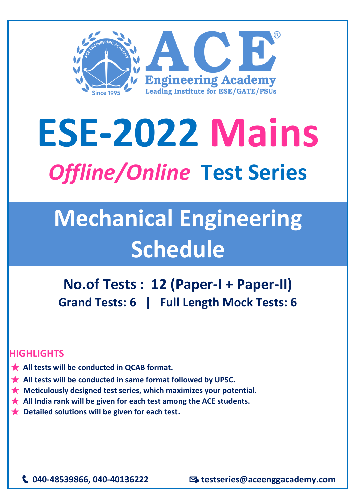

## **ESE-2022 Mains** *Offline/Online* **Test Series**

## **Mechanical Engineering Schedule**

**No.of Tests : 12 (Paper-I + Paper-II) Grand Tests: 6 | Full Length Mock Tests: 6** 

## **HIGHLIGHTS**

- ★ **All tests will be conducted in QCAB format.**
- ★ **All tests will be conducted in same format followed by UPSC.**
- ★ **Meticulously designed test series, which maximizes your potential.**
- **★** All India rank will be given for each test among the ACE students.
- ★ **Detailed solutions will be given for each test.**

**040-48539866, 040-40136222 testseries@aceenggacademy.com**